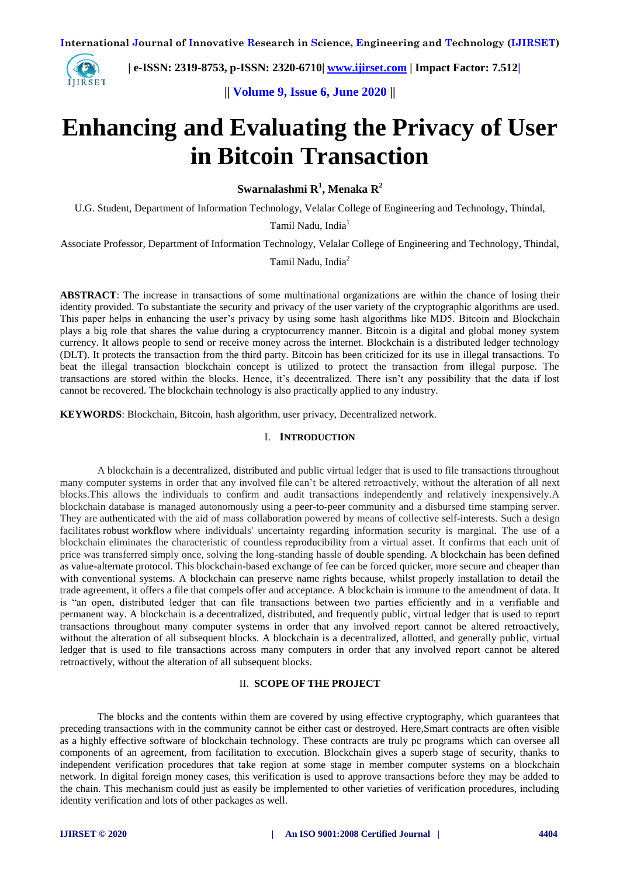

 **| e-ISSN: 2319-8753, p-ISSN: 2320-6710| [www.ijirset.com](http://www.ijirset.com/) | Impact Factor: 7.512|**

**|| Volume 9, Issue 6, June 2020 ||** 

# **Enhancing and Evaluating the Privacy of User in Bitcoin Transaction**

**Swarnalashmi R<sup>1</sup> , Menaka R<sup>2</sup>**

U.G. Student, Department of Information Technology, Velalar College of Engineering and Technology, Thindal,

Tamil Nadu, India<sup>1</sup>

Associate Professor, Department of Information Technology, Velalar College of Engineering and Technology, Thindal,

Tamil Nadu, India<sup>2</sup>

**ABSTRACT**: The increase in transactions of some multinational organizations are within the chance of losing their identity provided. To substantiate the security and privacy of the user variety of the cryptographic algorithms are used. This paper helps in enhancing the user's privacy by using some hash algorithms like MD5. Bitcoin and Blockchain plays a big role that shares the value during a cryptocurrency manner. Bitcoin is a digital and global money system currency. It allows people to send or receive money across the internet. Blockchain is a distributed ledger technology (DLT). It protects the transaction from the third party. Bitcoin has been criticized for its use in illegal transactions. To beat the illegal transaction blockchain concept is utilized to protect the transaction from illegal purpose. The transactions are stored within the blocks. Hence, it's decentralized. There isn't any possibility that the data if lost cannot be recovered. The blockchain technology is also practically applied to any industry.

**KEYWORDS**: Blockchain, Bitcoin, hash algorithm, user privacy, Decentralized network.

#### I. **INTRODUCTION**

A blockchain is a decentralized, distributed and public virtual ledger that is used to file transactions throughout many computer systems in order that any involved file can't be altered retroactively, without the alteration of all next blocks.This allows the individuals to confirm and audit transactions independently and relatively inexpensively.A blockchain database is managed autonomously using a peer-to-peer community and a disbursed time stamping server. They are authenticated with the aid of mass collaboration powered by means of collective self-interests. Such a design facilitates robust workflow where individuals' uncertainty regarding information security is marginal. The use of a blockchain eliminates the characteristic of countless reproducibility from a virtual asset. It confirms that each unit of price was transferred simply once, solving the long-standing hassle of double spending. A blockchain has been defined as value-alternate protocol. This blockchain-based exchange of fee can be forced quicker, more secure and cheaper than with conventional systems. A blockchain can preserve name rights because, whilst properly installation to detail the trade agreement, it offers a file that compels offer and acceptance. A blockchain is immune to the amendment of data. It is "an open, distributed ledger that can file transactions between two parties efficiently and in a verifiable and permanent way. A blockchain is a decentralized, distributed, and frequently public, virtual ledger that is used to report transactions throughout many computer systems in order that any involved report cannot be altered retroactively, without the alteration of all subsequent blocks. A blockchain is a decentralized, allotted, and generally public, virtual ledger that is used to file transactions across many computers in order that any involved report cannot be altered retroactively, without the alteration of all subsequent blocks.

# II. **SCOPE OF THE PROJECT**

The blocks and the contents within them are covered by using effective cryptography, which guarantees that preceding transactions with in the community cannot be either cast or destroyed. Here,Smart contracts are often visible as a highly effective software of blockchain technology. These contracts are truly pc programs which can oversee all components of an agreement, from facilitation to execution. Blockchain gives a superb stage of security, thanks to independent verification procedures that take region at some stage in member computer systems on a blockchain network. In digital foreign money cases, this verification is used to approve transactions before they may be added to the chain. This mechanism could just as easily be implemented to other varieties of verification procedures, including identity verification and lots of other packages as well.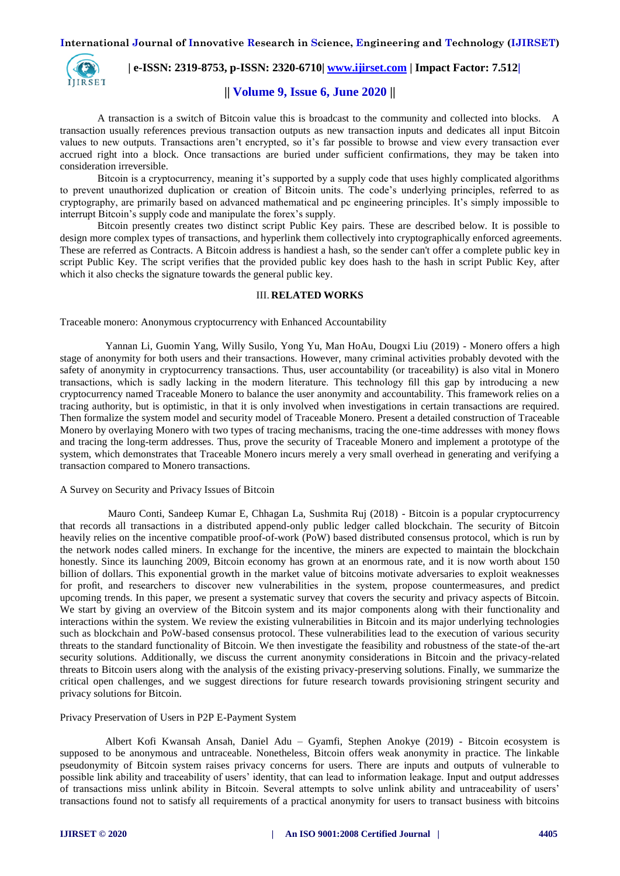

 **| e-ISSN: 2319-8753, p-ISSN: 2320-6710| [www.ijirset.com](http://www.ijirset.com/) | Impact Factor: 7.512|**

# **|| Volume 9, Issue 6, June 2020 ||**

A transaction is a switch of Bitcoin value this is broadcast to the community and collected into blocks. A transaction usually references previous transaction outputs as new transaction inputs and dedicates all input Bitcoin values to new outputs. Transactions aren't encrypted, so it's far possible to browse and view every transaction ever accrued right into a block. Once transactions are buried under sufficient confirmations, they may be taken into consideration irreversible.

Bitcoin is a cryptocurrency, meaning it's supported by a supply code that uses highly complicated algorithms to prevent unauthorized duplication or creation of Bitcoin units. The code's underlying principles, referred to as cryptography, are primarily based on advanced mathematical and pc engineering principles. It's simply impossible to interrupt Bitcoin's supply code and manipulate the forex's supply.

Bitcoin presently creates two distinct script Public Key pairs. These are described below. It is possible to design more complex types of transactions, and hyperlink them collectively into cryptographically enforced agreements. These are referred as Contracts. A Bitcoin address is handiest a hash, so the sender can't offer a complete public key in script Public Key. The script verifies that the provided public key does hash to the hash in script Public Key, after which it also checks the signature towards the general public key.

# III. **RELATED WORKS**

Traceable monero: Anonymous cryptocurrency with Enhanced Accountability

 Yannan Li, Guomin Yang, Willy Susilo, Yong Yu, Man HoAu, Dougxi Liu (2019) - Monero offers a high stage of anonymity for both users and their transactions. However, many criminal activities probably devoted with the safety of anonymity in cryptocurrency transactions. Thus, user accountability (or traceability) is also vital in Monero transactions, which is sadly lacking in the modern literature. This technology fill this gap by introducing a new cryptocurrency named Traceable Monero to balance the user anonymity and accountability. This framework relies on a tracing authority, but is optimistic, in that it is only involved when investigations in certain transactions are required. Then formalize the system model and security model of Traceable Monero. Present a detailed construction of Traceable Monero by overlaying Monero with two types of tracing mechanisms, tracing the one-time addresses with money flows and tracing the long-term addresses. Thus, prove the security of Traceable Monero and implement a prototype of the system, which demonstrates that Traceable Monero incurs merely a very small overhead in generating and verifying a transaction compared to Monero transactions.

A Survey on Security and Privacy Issues of Bitcoin

 Mauro Conti, Sandeep Kumar E, Chhagan La, Sushmita Ruj (2018) - Bitcoin is a popular cryptocurrency that records all transactions in a distributed append-only public ledger called blockchain. The security of Bitcoin heavily relies on the incentive compatible proof-of-work (PoW) based distributed consensus protocol, which is run by the network nodes called miners. In exchange for the incentive, the miners are expected to maintain the blockchain honestly. Since its launching 2009, Bitcoin economy has grown at an enormous rate, and it is now worth about 150 billion of dollars. This exponential growth in the market value of bitcoins motivate adversaries to exploit weaknesses for profit, and researchers to discover new vulnerabilities in the system, propose countermeasures, and predict upcoming trends. In this paper, we present a systematic survey that covers the security and privacy aspects of Bitcoin. We start by giving an overview of the Bitcoin system and its major components along with their functionality and interactions within the system. We review the existing vulnerabilities in Bitcoin and its major underlying technologies such as blockchain and PoW-based consensus protocol. These vulnerabilities lead to the execution of various security threats to the standard functionality of Bitcoin. We then investigate the feasibility and robustness of the state-of the-art security solutions. Additionally, we discuss the current anonymity considerations in Bitcoin and the privacy-related threats to Bitcoin users along with the analysis of the existing privacy-preserving solutions. Finally, we summarize the critical open challenges, and we suggest directions for future research towards provisioning stringent security and privacy solutions for Bitcoin.

#### Privacy Preservation of Users in P2P E-Payment System

 Albert Kofi Kwansah Ansah, Daniel Adu – Gyamfi, Stephen Anokye (2019) - Bitcoin ecosystem is supposed to be anonymous and untraceable. Nonetheless, Bitcoin offers weak anonymity in practice. The linkable pseudonymity of Bitcoin system raises privacy concerns for users. There are inputs and outputs of vulnerable to possible link ability and traceability of users' identity, that can lead to information leakage. Input and output addresses of transactions miss unlink ability in Bitcoin. Several attempts to solve unlink ability and untraceability of users' transactions found not to satisfy all requirements of a practical anonymity for users to transact business with bitcoins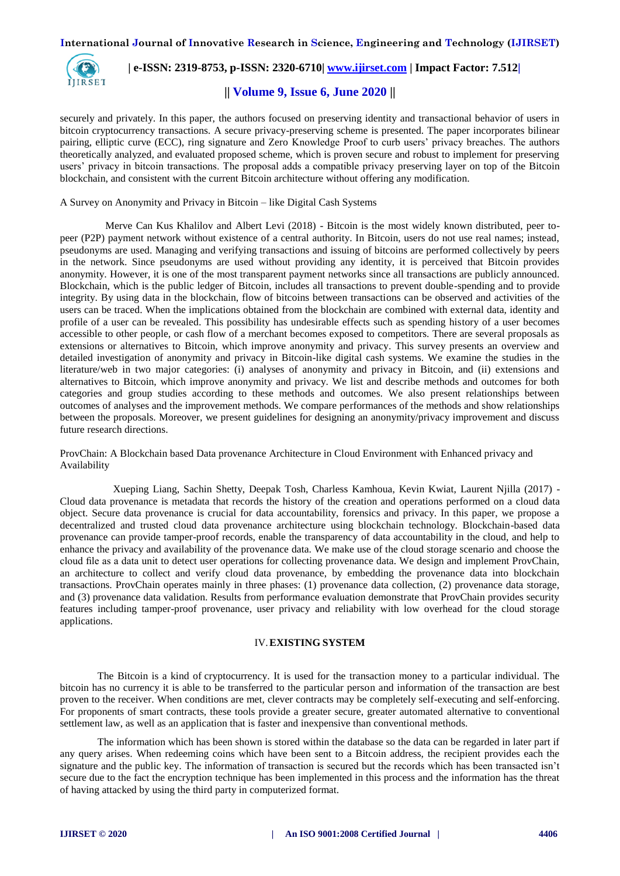

# **| e-ISSN: 2319-8753, p-ISSN: 2320-6710| [www.ijirset.com](http://www.ijirset.com/) | Impact Factor: 7.512|**

**|| Volume 9, Issue 6, June 2020 ||** 

securely and privately. In this paper, the authors focused on preserving identity and transactional behavior of users in bitcoin cryptocurrency transactions. A secure privacy-preserving scheme is presented. The paper incorporates bilinear pairing, elliptic curve (ECC), ring signature and Zero Knowledge Proof to curb users' privacy breaches. The authors theoretically analyzed, and evaluated proposed scheme, which is proven secure and robust to implement for preserving users' privacy in bitcoin transactions. The proposal adds a compatible privacy preserving layer on top of the Bitcoin blockchain, and consistent with the current Bitcoin architecture without offering any modification.

A Survey on Anonymity and Privacy in Bitcoin – like Digital Cash Systems

 Merve Can Kus Khalilov and Albert Levi (2018) - Bitcoin is the most widely known distributed, peer topeer (P2P) payment network without existence of a central authority. In Bitcoin, users do not use real names; instead, pseudonyms are used. Managing and verifying transactions and issuing of bitcoins are performed collectively by peers in the network. Since pseudonyms are used without providing any identity, it is perceived that Bitcoin provides anonymity. However, it is one of the most transparent payment networks since all transactions are publicly announced. Blockchain, which is the public ledger of Bitcoin, includes all transactions to prevent double-spending and to provide integrity. By using data in the blockchain, flow of bitcoins between transactions can be observed and activities of the users can be traced. When the implications obtained from the blockchain are combined with external data, identity and profile of a user can be revealed. This possibility has undesirable effects such as spending history of a user becomes accessible to other people, or cash flow of a merchant becomes exposed to competitors. There are several proposals as extensions or alternatives to Bitcoin, which improve anonymity and privacy. This survey presents an overview and detailed investigation of anonymity and privacy in Bitcoin-like digital cash systems. We examine the studies in the literature/web in two major categories: (i) analyses of anonymity and privacy in Bitcoin, and (ii) extensions and alternatives to Bitcoin, which improve anonymity and privacy. We list and describe methods and outcomes for both categories and group studies according to these methods and outcomes. We also present relationships between outcomes of analyses and the improvement methods. We compare performances of the methods and show relationships between the proposals. Moreover, we present guidelines for designing an anonymity/privacy improvement and discuss future research directions.

ProvChain: A Blockchain based Data provenance Architecture in Cloud Environment with Enhanced privacy and Availability

 Xueping Liang, Sachin Shetty, Deepak Tosh, Charless Kamhoua, Kevin Kwiat, Laurent Njilla (2017) - Cloud data provenance is metadata that records the history of the creation and operations performed on a cloud data object. Secure data provenance is crucial for data accountability, forensics and privacy. In this paper, we propose a decentralized and trusted cloud data provenance architecture using blockchain technology. Blockchain-based data provenance can provide tamper-proof records, enable the transparency of data accountability in the cloud, and help to enhance the privacy and availability of the provenance data. We make use of the cloud storage scenario and choose the cloud file as a data unit to detect user operations for collecting provenance data. We design and implement ProvChain, an architecture to collect and verify cloud data provenance, by embedding the provenance data into blockchain transactions. ProvChain operates mainly in three phases: (1) provenance data collection, (2) provenance data storage, and (3) provenance data validation. Results from performance evaluation demonstrate that ProvChain provides security features including tamper-proof provenance, user privacy and reliability with low overhead for the cloud storage applications.

#### IV.**EXISTING SYSTEM**

The Bitcoin is a kind of cryptocurrency. It is used for the transaction money to a particular individual. The bitcoin has no currency it is able to be transferred to the particular person and information of the transaction are best proven to the receiver. When conditions are met, clever contracts may be completely self-executing and self-enforcing. For proponents of smart contracts, these tools provide a greater secure, greater automated alternative to conventional settlement law, as well as an application that is faster and inexpensive than conventional methods.

The information which has been shown is stored within the database so the data can be regarded in later part if any query arises. When redeeming coins which have been sent to a Bitcoin address, the recipient provides each the signature and the public key. The information of transaction is secured but the records which has been transacted isn't secure due to the fact the encryption technique has been implemented in this process and the information has the threat of having attacked by using the third party in computerized format.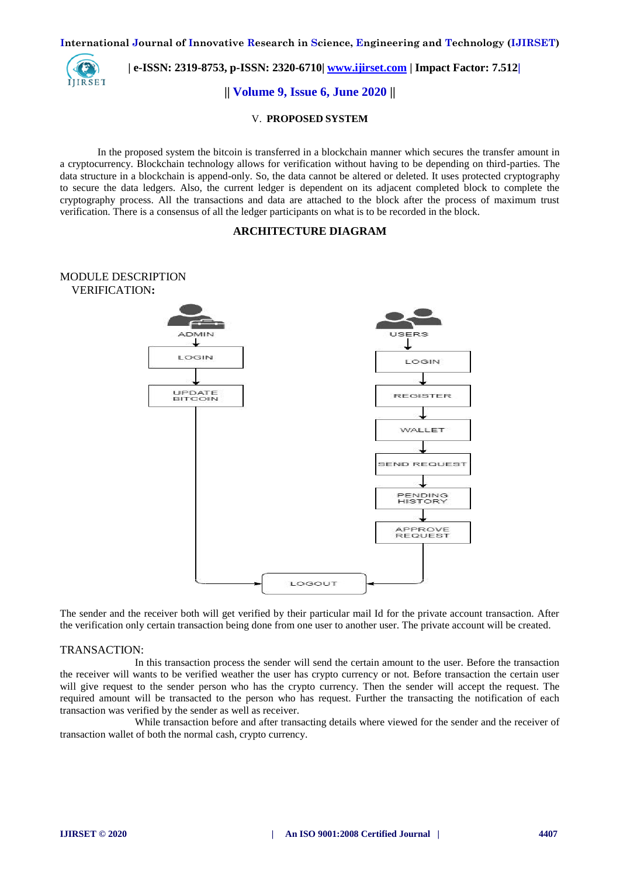**International Journal of Innovative Research in Science, Engineering and Technology (IJIRSET)**



 **| e-ISSN: 2319-8753, p-ISSN: 2320-6710| [www.ijirset.com](http://www.ijirset.com/) | Impact Factor: 7.512|**

**|| Volume 9, Issue 6, June 2020 ||** 

## V. **PROPOSED SYSTEM**

In the proposed system the bitcoin is transferred in a blockchain manner which secures the transfer amount in a cryptocurrency. Blockchain technology allows for verification without having to be depending on third-parties. The data structure in a blockchain is append-only. So, the data cannot be altered or deleted. It uses protected cryptography to secure the data ledgers. Also, the current ledger is dependent on its adjacent completed block to complete the cryptography process. All the transactions and data are attached to the block after the process of maximum trust verification. There is a consensus of all the ledger participants on what is to be recorded in the block.

# **ARCHITECTURE DIAGRAM**



The sender and the receiver both will get verified by their particular mail Id for the private account transaction. After the verification only certain transaction being done from one user to another user. The private account will be created.

## TRANSACTION:

In this transaction process the sender will send the certain amount to the user. Before the transaction the receiver will wants to be verified weather the user has crypto currency or not. Before transaction the certain user will give request to the sender person who has the crypto currency. Then the sender will accept the request. The required amount will be transacted to the person who has request. Further the transacting the notification of each transaction was verified by the sender as well as receiver.

While transaction before and after transacting details where viewed for the sender and the receiver of transaction wallet of both the normal cash, crypto currency.